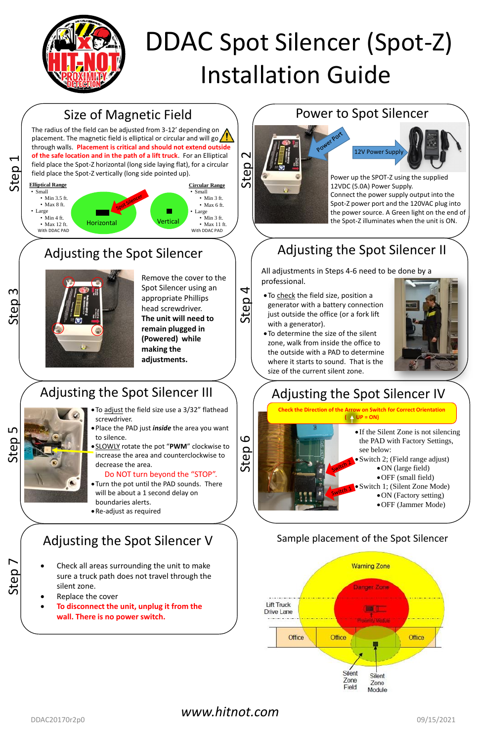Step 1

# Size of Magnetic Field

The radius of the field can be adjusted from 3-12' depending on placement. The magnetic field is elliptical or circular and will go  $\sqrt{!}$ through walls. **Placement is critical and should not extend outside of the safe location and in the path of a lift truck**. For an Elliptical field place the Spot-Z horizontal (long side laying flat), for a circular field place the Spot-Z vertically (long side pointed up).



## Power to Spot Silencer

Power up the SPOT-Z using the supplied 12VDC (5.0A) Power Supply. Connect the power supply output into the Spot-Z power port and the 120VAC plug into the power source. A Green light on the end of the Spot-Z illuminates when the unit is ON.

Step 3

# Adjusting the Spot Silencer

- To adjust the field size use a 3/32" flathead screwdriver.
- Place the PAD just *inside* the area you want to silence.
- SLOWLY rotate the pot "**PWM**" clockwise to increase the area and counterclockwise to decrease the area.

Remove the cover to the Spot Silencer using an appropriate Phillips head screwdriver. **The unit will need to remain plugged in (Powered) while making the adjustments.**

Step 4

# Adjusting the Spot Silencer II

All adjustments in Steps 4-6 need to be done by a professional.

- 
- If the Silent Zone is not silencing the PAD with Factory Settings, see below:
- Switch 2; (Field range adjust)
	- ON (large field)
	- OFF (small field)
- Switch 1; (Silent Zone Mode)
	- ON (Factory setting)
	- OFF (Jammer Mode)
- To check the field size, position a generator with a battery connection just outside the office (or a fork lift with a generator).
- To determine the size of the silent zone, walk from inside the office to the outside with a PAD to determine where it starts to sound. That is the size of the current silent zone.



**Check the Direction of the Arrow on Switch for Correct Orientation**  $($   $\uparrow$  UP = ON)

### Do NOT turn beyond the "STOP".

- Turn the pot until the PAD sounds. There will be about a 1 second delay on boundaries alerts.
- Re-adjust as required



# Adjusting the Spot Silencer III

# Adjusting the Spot Silencer V

- Check all areas surrounding the unit to make sure a truck path does not travel through the silent zone.
- Replace the cover
- **To disconnect the unit, unplug it from the wall. There is no power switch.**





# DDAC Spot Silencer (Spot-Z) Installation Guide

### Sample placement of the Spot Silencer

### *www.hitnot.com*

DDAC20170r2p0 09/15/2021

Step 6

# Adjusting the Spot Silencer IV